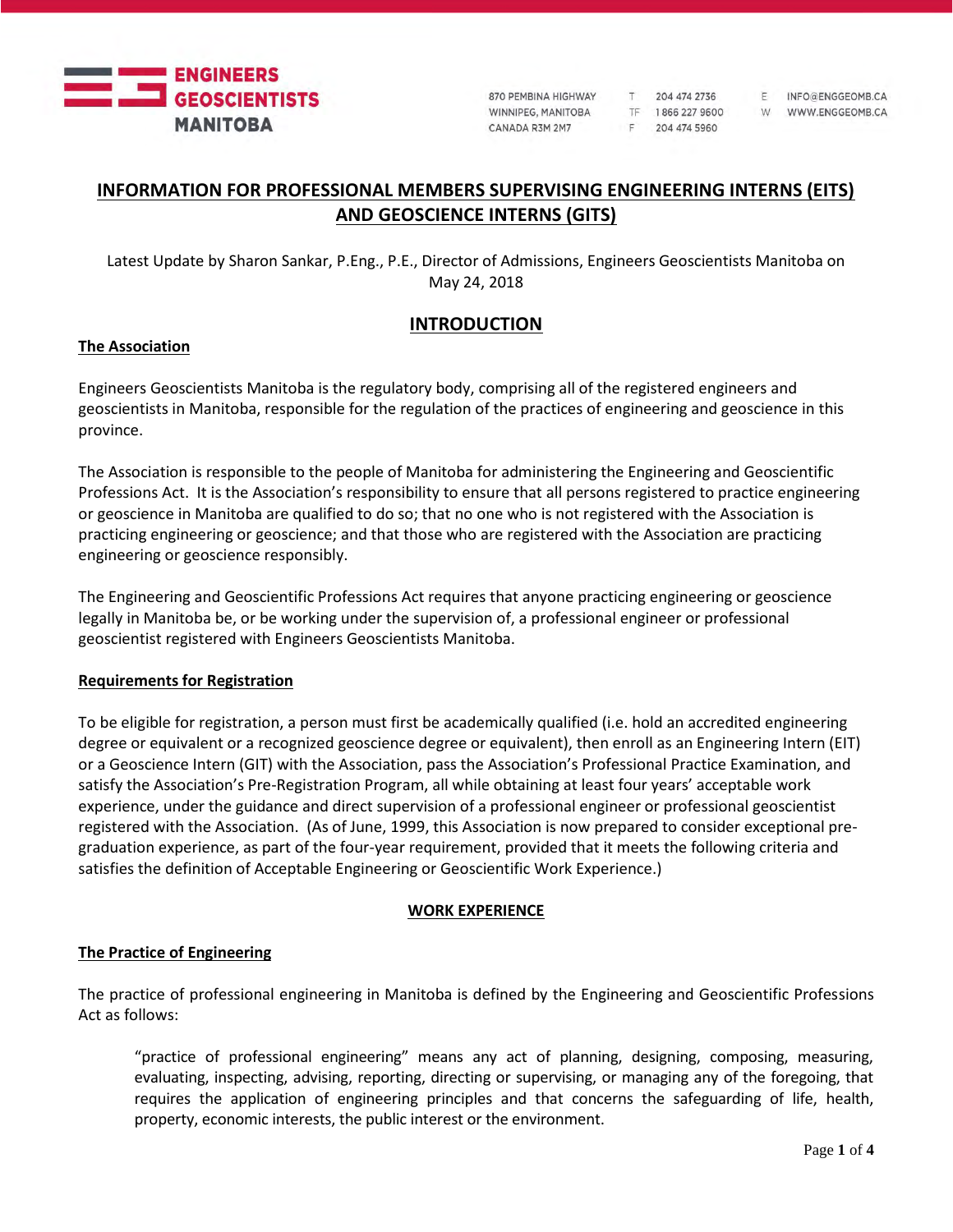

870 PEMBINA HIGHWAY WINNIPEG, MANITOBA CANADA R3M 2M7

204 474 2736 TF 1866 227 9600 F 204 474 5960

 $T$ 

F INFO@ENGGEOMB.CA W WWW.ENGGEOMB.CA

# **INFORMATION FOR PROFESSIONAL MEMBERS SUPERVISING ENGINEERING INTERNS (EITS) AND GEOSCIENCE INTERNS (GITS)**

Latest Update by Sharon Sankar, P.Eng., P.E., Director of Admissions, Engineers Geoscientists Manitoba on May 24, 2018

## **INTRODUCTION**

### **The Association**

Engineers Geoscientists Manitoba is the regulatory body, comprising all of the registered engineers and geoscientists in Manitoba, responsible for the regulation of the practices of engineering and geoscience in this province.

The Association is responsible to the people of Manitoba for administering the Engineering and Geoscientific Professions Act. It is the Association's responsibility to ensure that all persons registered to practice engineering or geoscience in Manitoba are qualified to do so; that no one who is not registered with the Association is practicing engineering or geoscience; and that those who are registered with the Association are practicing engineering or geoscience responsibly.

The Engineering and Geoscientific Professions Act requires that anyone practicing engineering or geoscience legally in Manitoba be, or be working under the supervision of, a professional engineer or professional geoscientist registered with Engineers Geoscientists Manitoba.

#### **Requirements for Registration**

To be eligible for registration, a person must first be academically qualified (i.e. hold an accredited engineering degree or equivalent or a recognized geoscience degree or equivalent), then enroll as an Engineering Intern (EIT) or a Geoscience Intern (GIT) with the Association, pass the Association's Professional Practice Examination, and satisfy the Association's Pre-Registration Program, all while obtaining at least four years' acceptable work experience, under the guidance and direct supervision of a professional engineer or professional geoscientist registered with the Association. (As of June, 1999, this Association is now prepared to consider exceptional pregraduation experience, as part of the four-year requirement, provided that it meets the following criteria and satisfies the definition of Acceptable Engineering or Geoscientific Work Experience.)

### **WORK EXPERIENCE**

### **The Practice of Engineering**

The practice of professional engineering in Manitoba is defined by the Engineering and Geoscientific Professions Act as follows:

"practice of professional engineering" means any act of planning, designing, composing, measuring, evaluating, inspecting, advising, reporting, directing or supervising, or managing any of the foregoing, that requires the application of engineering principles and that concerns the safeguarding of life, health, property, economic interests, the public interest or the environment.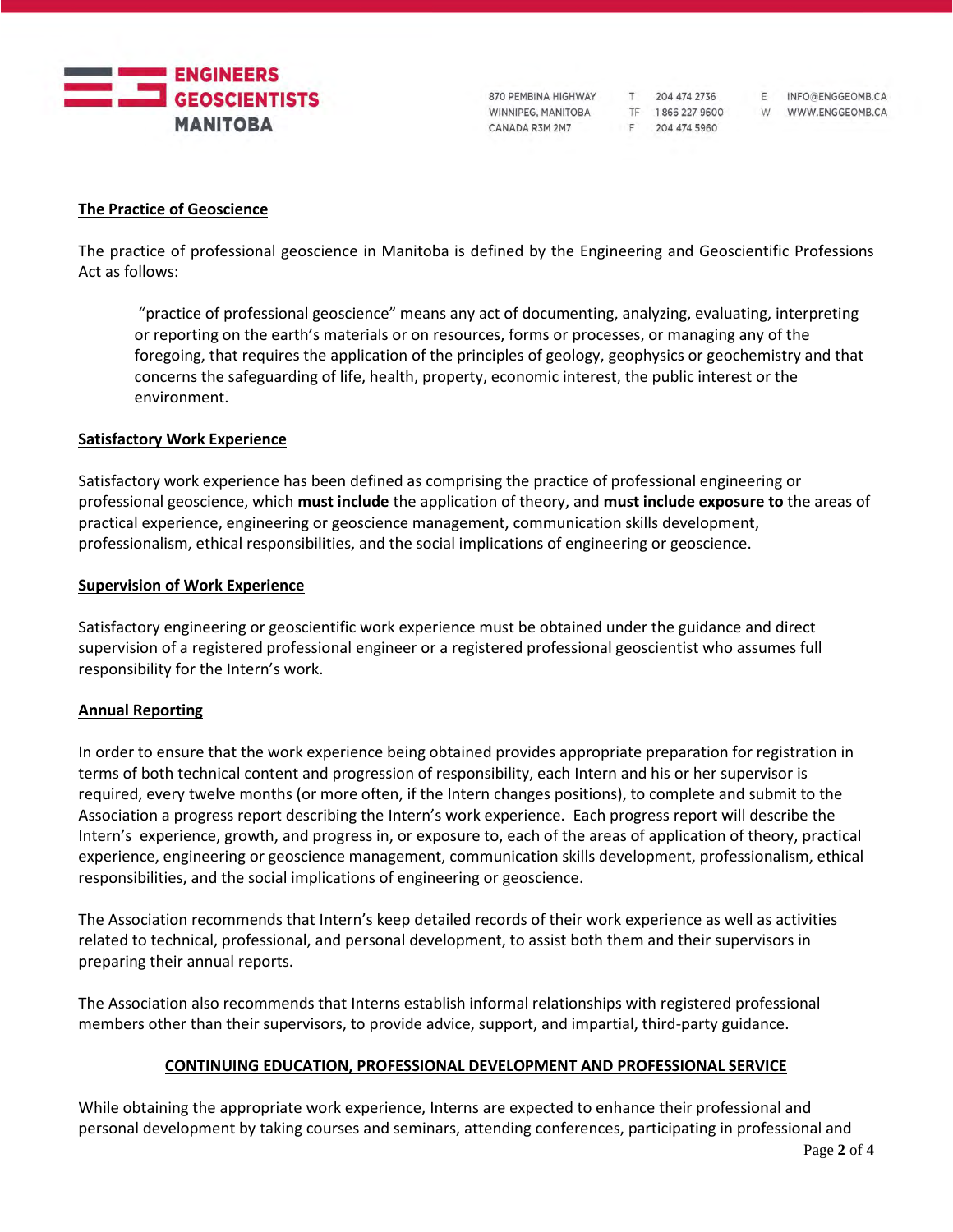

870 PEMBINA HIGHWAY T 204 474 2736 WINNIPEG, MANITOBA CANADA R3M 2M7

F 204 474 5960

F INFO@ENGGEOMB.CA TF 1866 227 9600 W WWW.ENGGEOMB.CA

### **The Practice of Geoscience**

The practice of professional geoscience in Manitoba is defined by the Engineering and Geoscientific Professions Act as follows:

"practice of professional geoscience" means any act of documenting, analyzing, evaluating, interpreting or reporting on the earth's materials or on resources, forms or processes, or managing any of the foregoing, that requires the application of the principles of geology, geophysics or geochemistry and that concerns the safeguarding of life, health, property, economic interest, the public interest or the environment.

#### **Satisfactory Work Experience**

Satisfactory work experience has been defined as comprising the practice of professional engineering or professional geoscience, which **must include** the application of theory, and **must include exposure to** the areas of practical experience, engineering or geoscience management, communication skills development, professionalism, ethical responsibilities, and the social implications of engineering or geoscience.

#### **Supervision of Work Experience**

Satisfactory engineering or geoscientific work experience must be obtained under the guidance and direct supervision of a registered professional engineer or a registered professional geoscientist who assumes full responsibility for the Intern's work.

### **Annual Reporting**

In order to ensure that the work experience being obtained provides appropriate preparation for registration in terms of both technical content and progression of responsibility, each Intern and his or her supervisor is required, every twelve months (or more often, if the Intern changes positions), to complete and submit to the Association a progress report describing the Intern's work experience. Each progress report will describe the Intern's experience, growth, and progress in, or exposure to, each of the areas of application of theory, practical experience, engineering or geoscience management, communication skills development, professionalism, ethical responsibilities, and the social implications of engineering or geoscience.

The Association recommends that Intern's keep detailed records of their work experience as well as activities related to technical, professional, and personal development, to assist both them and their supervisors in preparing their annual reports.

The Association also recommends that Interns establish informal relationships with registered professional members other than their supervisors, to provide advice, support, and impartial, third-party guidance.

### **CONTINUING EDUCATION, PROFESSIONAL DEVELOPMENT AND PROFESSIONAL SERVICE**

While obtaining the appropriate work experience, Interns are expected to enhance their professional and personal development by taking courses and seminars, attending conferences, participating in professional and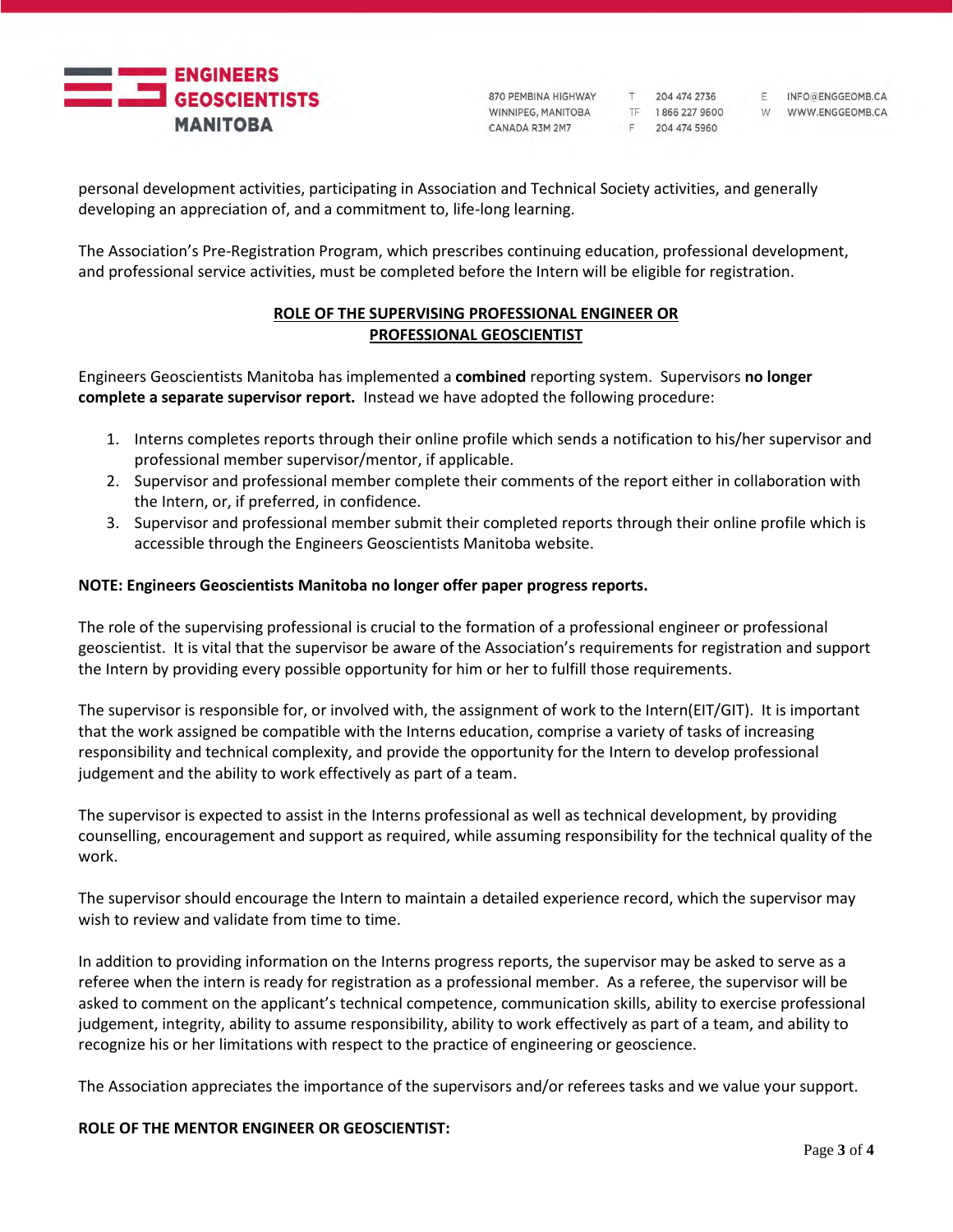

870 PEMBINA HIGHWAY WINNIPEG, MANITOBA CANADA R3M 2M7

T 204 474 2736 TF 1866 227 9600 F 204 474 5960

F INFO@ENGGEOMB.CA W WWW.ENGGEOMB.CA

personal development activities, participating in Association and Technical Society activities, and generally developing an appreciation of, and a commitment to, life-long learning.

The Association's Pre-Registration Program, which prescribes continuing education, professional development, and professional service activities, must be completed before the Intern will be eligible for registration.

### **ROLE OF THE SUPERVISING PROFESSIONAL ENGINEER OR PROFESSIONAL GEOSCIENTIST**

Engineers Geoscientists Manitoba has implemented a **combined** reporting system. Supervisors **no longer complete a separate supervisor report.** Instead we have adopted the following procedure:

- 1. Interns completes reports through their online profile which sends a notification to his/her supervisor and professional member supervisor/mentor, if applicable.
- 2. Supervisor and professional member complete their comments of the report either in collaboration with the Intern, or, if preferred, in confidence.
- 3. Supervisor and professional member submit their completed reports through their online profile which is accessible through the Engineers Geoscientists Manitoba website.

### **NOTE: Engineers Geoscientists Manitoba no longer offer paper progress reports.**

The role of the supervising professional is crucial to the formation of a professional engineer or professional geoscientist. It is vital that the supervisor be aware of the Association's requirements for registration and support the Intern by providing every possible opportunity for him or her to fulfill those requirements.

The supervisor is responsible for, or involved with, the assignment of work to the Intern(EIT/GIT). It is important that the work assigned be compatible with the Interns education, comprise a variety of tasks of increasing responsibility and technical complexity, and provide the opportunity for the Intern to develop professional judgement and the ability to work effectively as part of a team.

The supervisor is expected to assist in the Interns professional as well as technical development, by providing counselling, encouragement and support as required, while assuming responsibility for the technical quality of the work.

The supervisor should encourage the Intern to maintain a detailed experience record, which the supervisor may wish to review and validate from time to time.

In addition to providing information on the Interns progress reports, the supervisor may be asked to serve as a referee when the intern is ready for registration as a professional member. As a referee, the supervisor will be asked to comment on the applicant's technical competence, communication skills, ability to exercise professional judgement, integrity, ability to assume responsibility, ability to work effectively as part of a team, and ability to recognize his or her limitations with respect to the practice of engineering or geoscience.

The Association appreciates the importance of the supervisors and/or referees tasks and we value your support.

#### **ROLE OF THE MENTOR ENGINEER OR GEOSCIENTIST:**